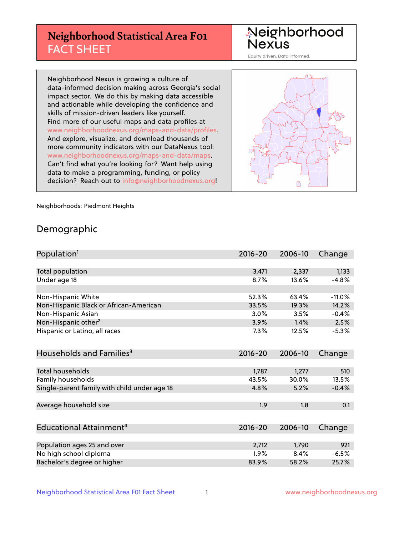## **Neighborhood Statistical Area F01** FACT SHEET

Neighborhood Nexus

Equity driven. Data informed.

Neighborhood Nexus is growing a culture of data-informed decision making across Georgia's social impact sector. We do this by making data accessible and actionable while developing the confidence and skills of mission-driven leaders like yourself. Find more of our useful maps and data profiles at www.neighborhoodnexus.org/maps-and-data/profiles. And explore, visualize, and download thousands of more community indicators with our DataNexus tool: www.neighborhoodnexus.org/maps-and-data/maps. Can't find what you're looking for? Want help using data to make a programming, funding, or policy decision? Reach out to [info@neighborhoodnexus.org!](mailto:info@neighborhoodnexus.org)



Neighborhoods: Piedmont Heights

### Demographic

| Population <sup>1</sup>                      | $2016 - 20$ | 2006-10 | Change   |
|----------------------------------------------|-------------|---------|----------|
|                                              |             |         |          |
| Total population                             | 3,471       | 2,337   | 1,133    |
| Under age 18                                 | 8.7%        | 13.6%   | $-4.8%$  |
|                                              |             |         |          |
| Non-Hispanic White                           | 52.3%       | 63.4%   | $-11.0%$ |
| Non-Hispanic Black or African-American       | 33.5%       | 19.3%   | 14.2%    |
| Non-Hispanic Asian                           | 3.0%        | 3.5%    | $-0.4%$  |
| Non-Hispanic other <sup>2</sup>              | 3.9%        | 1.4%    | 2.5%     |
| Hispanic or Latino, all races                | 7.3%        | 12.5%   | $-5.3%$  |
|                                              |             |         |          |
| Households and Families <sup>3</sup>         | $2016 - 20$ | 2006-10 | Change   |
|                                              |             |         |          |
| <b>Total households</b>                      | 1,787       | 1,277   | 510      |
| Family households                            | 43.5%       | 30.0%   | 13.5%    |
| Single-parent family with child under age 18 | 4.8%        | 5.2%    | $-0.4%$  |
|                                              |             |         |          |
| Average household size                       | 1.9         | 1.8     | 0.1      |
|                                              |             |         |          |
| Educational Attainment <sup>4</sup>          | $2016 - 20$ | 2006-10 | Change   |
|                                              |             |         |          |
| Population ages 25 and over                  | 2,712       | 1,790   | 921      |
| No high school diploma                       | 1.9%        | 8.4%    | $-6.5%$  |
| Bachelor's degree or higher                  | 83.9%       | 58.2%   | 25.7%    |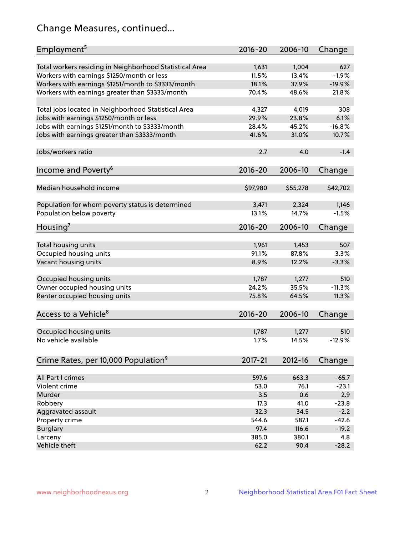## Change Measures, continued...

| Employment <sup>5</sup>                                                                               | $2016 - 20$    | 2006-10        | Change          |
|-------------------------------------------------------------------------------------------------------|----------------|----------------|-----------------|
|                                                                                                       |                |                |                 |
| Total workers residing in Neighborhood Statistical Area                                               | 1,631<br>11.5% | 1,004<br>13.4% | 627<br>$-1.9%$  |
| Workers with earnings \$1250/month or less                                                            | 18.1%          | 37.9%          | $-19.9%$        |
| Workers with earnings \$1251/month to \$3333/month<br>Workers with earnings greater than \$3333/month | 70.4%          | 48.6%          | 21.8%           |
|                                                                                                       |                |                |                 |
| Total jobs located in Neighborhood Statistical Area                                                   | 4,327          | 4,019          | 308             |
| Jobs with earnings \$1250/month or less                                                               | 29.9%          | 23.8%          | 6.1%            |
| Jobs with earnings \$1251/month to \$3333/month                                                       | 28.4%          | 45.2%          | $-16.8%$        |
| Jobs with earnings greater than \$3333/month                                                          | 41.6%          | 31.0%          | 10.7%           |
|                                                                                                       |                |                |                 |
| Jobs/workers ratio                                                                                    | 2.7            | 4.0            | $-1.4$          |
|                                                                                                       |                |                |                 |
| Income and Poverty <sup>6</sup>                                                                       | 2016-20        | 2006-10        | Change          |
|                                                                                                       |                |                |                 |
| Median household income                                                                               | \$97,980       | \$55,278       | \$42,702        |
|                                                                                                       |                |                |                 |
| Population for whom poverty status is determined                                                      | 3,471          | 2,324          | 1,146           |
| Population below poverty                                                                              | 13.1%          | 14.7%          | $-1.5%$         |
|                                                                                                       |                |                |                 |
| Housing <sup>7</sup>                                                                                  | $2016 - 20$    | 2006-10        | Change          |
|                                                                                                       |                |                |                 |
| Total housing units                                                                                   | 1,961          | 1,453          | 507             |
| Occupied housing units                                                                                | 91.1%          | 87.8%          | 3.3%            |
| Vacant housing units                                                                                  | 8.9%           | 12.2%          | $-3.3%$         |
|                                                                                                       |                |                |                 |
| Occupied housing units                                                                                | 1,787<br>24.2% | 1,277<br>35.5% | 510<br>$-11.3%$ |
| Owner occupied housing units                                                                          | 75.8%          |                |                 |
| Renter occupied housing units                                                                         |                | 64.5%          | 11.3%           |
|                                                                                                       |                |                |                 |
| Access to a Vehicle <sup>8</sup>                                                                      | $2016 - 20$    | 2006-10        | Change          |
|                                                                                                       |                |                |                 |
| Occupied housing units<br>No vehicle available                                                        | 1,787          | 1,277          | 510             |
|                                                                                                       | 1.7%           | 14.5%          | $-12.9%$        |
|                                                                                                       |                |                |                 |
| Crime Rates, per 10,000 Population <sup>9</sup>                                                       | 2017-21        | 2012-16        | Change          |
|                                                                                                       |                |                |                 |
| All Part I crimes                                                                                     | 597.6          | 663.3          | $-65.7$         |
| Violent crime                                                                                         | 53.0           | 76.1           | $-23.1$         |
| Murder                                                                                                | 3.5            | 0.6            | 2.9             |
| Robbery                                                                                               | 17.3           | 41.0           | $-23.8$         |
| Aggravated assault                                                                                    | 32.3           | 34.5           | $-2.2$          |
| Property crime                                                                                        | 544.6          | 587.1          | $-42.6$         |
| <b>Burglary</b>                                                                                       | 97.4           | 116.6          | $-19.2$         |
| Larceny                                                                                               | 385.0          | 380.1          | 4.8             |
| Vehicle theft                                                                                         | 62.2           | 90.4           | $-28.2$         |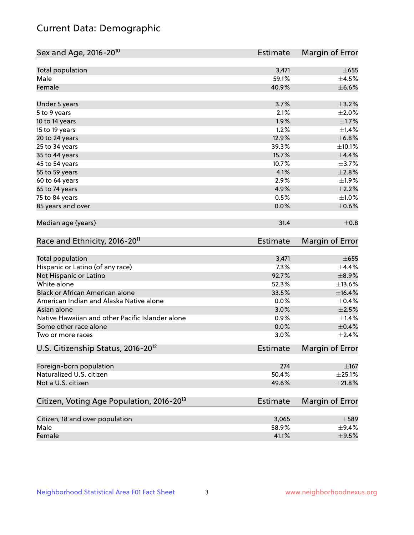## Current Data: Demographic

| Sex and Age, 2016-20 <sup>10</sup>                    | Estimate        | Margin of Error |
|-------------------------------------------------------|-----------------|-----------------|
| Total population                                      | 3,471           | $\pm 655$       |
| Male                                                  | 59.1%           | $\pm 4.5\%$     |
| Female                                                | 40.9%           | $\pm$ 6.6%      |
| Under 5 years                                         | 3.7%            | $\pm$ 3.2%      |
| 5 to 9 years                                          | 2.1%            | $\pm 2.0\%$     |
| 10 to 14 years                                        | 1.9%            | $\pm 1.7\%$     |
| 15 to 19 years                                        | 1.2%            | $\pm$ 1.4%      |
| 20 to 24 years                                        | 12.9%           | ±6.8%           |
| 25 to 34 years                                        | 39.3%           | ±10.1%          |
| 35 to 44 years                                        | 15.7%           | $\pm$ 4.4%      |
| 45 to 54 years                                        | 10.7%           | $\pm$ 3.7%      |
| 55 to 59 years                                        | 4.1%            | $\pm 2.8\%$     |
| 60 to 64 years                                        | 2.9%            | $\pm$ 1.9%      |
| 65 to 74 years                                        | 4.9%            | $\pm 2.2\%$     |
| 75 to 84 years                                        | 0.5%            | $\pm1.0\%$      |
| 85 years and over                                     | 0.0%            | $\pm$ 0.6%      |
| Median age (years)                                    | 31.4            | $\pm$ 0.8       |
| Race and Ethnicity, 2016-20 <sup>11</sup>             | <b>Estimate</b> | Margin of Error |
| Total population                                      | 3,471           | $\pm 655$       |
| Hispanic or Latino (of any race)                      | 7.3%            | ±4.4%           |
| Not Hispanic or Latino                                | 92.7%           | $\pm$ 8.9%      |
| White alone                                           | 52.3%           | $\pm$ 13.6%     |
| Black or African American alone                       | 33.5%           | $\pm$ 16.4%     |
| American Indian and Alaska Native alone               | 0.0%            | $\pm$ 0.4%      |
| Asian alone                                           | 3.0%            | $\pm 2.5\%$     |
| Native Hawaiian and other Pacific Islander alone      | 0.9%            | $\pm$ 1.4%      |
| Some other race alone                                 | 0.0%            | $\pm$ 0.4%      |
| Two or more races                                     | 3.0%            | $\pm 2.4\%$     |
| U.S. Citizenship Status, 2016-20 <sup>12</sup>        | <b>Estimate</b> | Margin of Error |
| Foreign-born population                               | 274             | $\pm$ 167       |
| Naturalized U.S. citizen                              | 50.4%           | $\pm 25.1\%$    |
| Not a U.S. citizen                                    | 49.6%           | $\pm 21.8\%$    |
| Citizen, Voting Age Population, 2016-20 <sup>13</sup> | <b>Estimate</b> | Margin of Error |
| Citizen, 18 and over population                       | 3,065           | $\pm$ 589       |
| Male                                                  | 58.9%           | $\pm$ 9.4%      |
| Female                                                | 41.1%           | $\pm$ 9.5%      |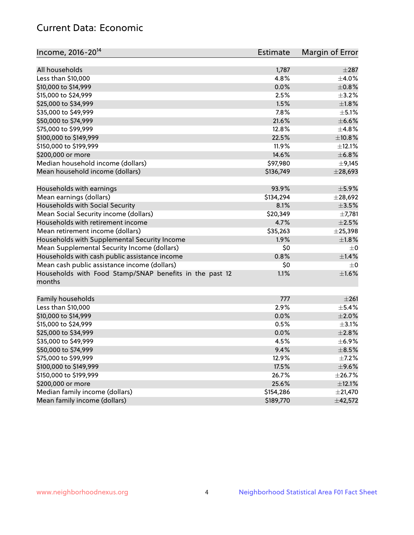## Current Data: Economic

| Income, 2016-20 <sup>14</sup>                                     | <b>Estimate</b> | Margin of Error |
|-------------------------------------------------------------------|-----------------|-----------------|
| All households                                                    | 1,787           | $\pm 287$       |
| Less than \$10,000                                                | 4.8%            | $\pm$ 4.0%      |
| \$10,000 to \$14,999                                              | 0.0%            | $\pm$ 0.8%      |
| \$15,000 to \$24,999                                              | 2.5%            | $\pm$ 3.2%      |
|                                                                   | 1.5%            | $\pm 1.8\%$     |
| \$25,000 to \$34,999                                              |                 |                 |
| \$35,000 to \$49,999                                              | 7.8%<br>21.6%   | $\pm$ 5.1%      |
| \$50,000 to \$74,999                                              |                 | $\pm$ 6.6%      |
| \$75,000 to \$99,999                                              | 12.8%           | ±4.8%           |
| \$100,000 to \$149,999                                            | 22.5%           | ±10.8%          |
| \$150,000 to \$199,999                                            | 11.9%           | $\pm$ 12.1%     |
| \$200,000 or more                                                 | 14.6%           | ±6.8%           |
| Median household income (dollars)                                 | \$97,980        | $\pm$ 9,145     |
| Mean household income (dollars)                                   | \$136,749       | $±$ 28,693      |
| Households with earnings                                          | 93.9%           | $\pm$ 5.9%      |
| Mean earnings (dollars)                                           | \$134,294       | ±28,692         |
| Households with Social Security                                   | 8.1%            | $\pm$ 3.5%      |
| Mean Social Security income (dollars)                             | \$20,349        | $\pm$ 7,781     |
| Households with retirement income                                 | 4.7%            | $\pm 2.5\%$     |
| Mean retirement income (dollars)                                  | \$35,263        | ± 25,398        |
| Households with Supplemental Security Income                      | 1.9%            | $\pm1.8\%$      |
| Mean Supplemental Security Income (dollars)                       | \$0             | $\pm$ 0         |
| Households with cash public assistance income                     | 0.8%            | ±1.4%           |
| Mean cash public assistance income (dollars)                      | \$0             | $\pm 0$         |
| Households with Food Stamp/SNAP benefits in the past 12<br>months | 1.1%            | $\pm1.6\%$      |
| Family households                                                 | 777             | ±261            |
| Less than \$10,000                                                | 2.9%            | $\pm$ 5.4%      |
| \$10,000 to \$14,999                                              | 0.0%            | $\pm 2.0\%$     |
| \$15,000 to \$24,999                                              | 0.5%            | $\pm$ 3.1%      |
| \$25,000 to \$34,999                                              | 0.0%            | $\pm 2.8\%$     |
| \$35,000 to \$49,999                                              | 4.5%            | $\pm$ 6.9%      |
| \$50,000 to \$74,999                                              | 9.4%            | $\pm$ 8.5%      |
| \$75,000 to \$99,999                                              | 12.9%           | $\pm$ 7.2%      |
| \$100,000 to \$149,999                                            | 17.5%           | $\pm$ 9.6%      |
|                                                                   |                 |                 |
| \$150,000 to \$199,999                                            | 26.7%           | ±26.7%          |
| \$200,000 or more                                                 | 25.6%           | $\pm$ 12.1%     |
| Median family income (dollars)                                    | \$154,286       | $\pm 21,470$    |
| Mean family income (dollars)                                      | \$189,770       | ±42,572         |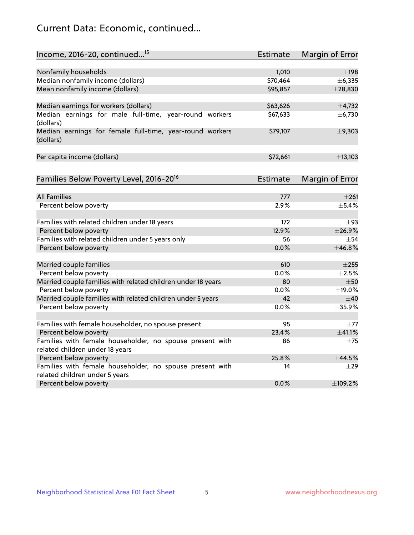## Current Data: Economic, continued...

| Income, 2016-20, continued <sup>15</sup>                                                    | <b>Estimate</b> | <b>Margin of Error</b> |
|---------------------------------------------------------------------------------------------|-----------------|------------------------|
|                                                                                             |                 |                        |
| Nonfamily households                                                                        | 1,010           | $\pm$ 198              |
| Median nonfamily income (dollars)                                                           | \$70,464        | ± 6,335                |
| Mean nonfamily income (dollars)                                                             | \$95,857        | $±$ 28,830             |
| Median earnings for workers (dollars)                                                       | \$63,626        | ±4,732                 |
| Median earnings for male full-time, year-round workers                                      | \$67,633        | ± 6,730                |
| (dollars)                                                                                   |                 |                        |
| Median earnings for female full-time, year-round workers<br>(dollars)                       | \$79,107        | ±9,303                 |
| Per capita income (dollars)                                                                 | \$72,661        | ±13,103                |
|                                                                                             |                 |                        |
| Families Below Poverty Level, 2016-20 <sup>16</sup>                                         | <b>Estimate</b> | <b>Margin of Error</b> |
| <b>All Families</b>                                                                         | 777             | $\pm 261$              |
|                                                                                             | 2.9%            | $\pm$ 5.4%             |
| Percent below poverty                                                                       |                 |                        |
| Families with related children under 18 years                                               | 172             | $\pm$ 93               |
| Percent below poverty                                                                       | 12.9%           | ±26.9%                 |
| Families with related children under 5 years only                                           | 56              | $\pm$ 54               |
| Percent below poverty                                                                       | 0.0%            | ±46.8%                 |
| Married couple families                                                                     | 610             | $\pm 255$              |
| Percent below poverty                                                                       | 0.0%            | $\pm 2.5\%$            |
| Married couple families with related children under 18 years                                | 80              | $\pm$ 50               |
| Percent below poverty                                                                       | $0.0\%$         | ±19.0%                 |
| Married couple families with related children under 5 years                                 | 42              | $\pm 40$               |
| Percent below poverty                                                                       | $0.0\%$         | ±35.9%                 |
|                                                                                             |                 |                        |
| Families with female householder, no spouse present                                         | 95              | $\pm$ 77               |
| Percent below poverty                                                                       | 23.4%           | ±41.1%                 |
| Families with female householder, no spouse present with<br>related children under 18 years | 86              | $\pm$ 75               |
| Percent below poverty                                                                       | 25.8%           | ±44.5%                 |
| Families with female householder, no spouse present with                                    | 14              | $\pm$ 29               |
| related children under 5 years                                                              |                 |                        |
| Percent below poverty                                                                       | 0.0%            | ±109.2%                |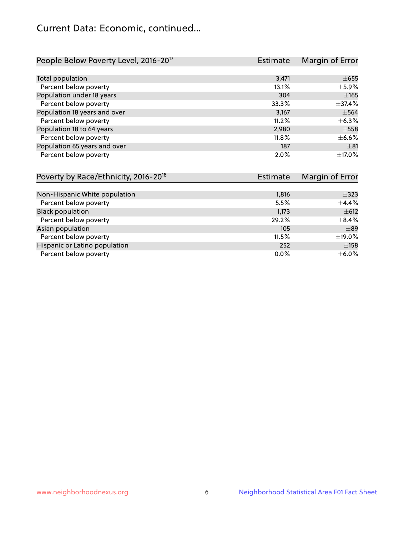## Current Data: Economic, continued...

| People Below Poverty Level, 2016-20 <sup>17</sup> | <b>Estimate</b> | Margin of Error |
|---------------------------------------------------|-----------------|-----------------|
|                                                   |                 |                 |
| Total population                                  | 3,471           | $\pm 655$       |
| Percent below poverty                             | 13.1%           | $\pm$ 5.9%      |
| Population under 18 years                         | 304             | $\pm 165$       |
| Percent below poverty                             | 33.3%           | ±37.4%          |
| Population 18 years and over                      | 3,167           | $\pm$ 564       |
| Percent below poverty                             | 11.2%           | $\pm$ 6.3%      |
| Population 18 to 64 years                         | 2,980           | $\pm$ 558       |
| Percent below poverty                             | 11.8%           | $\pm$ 6.6%      |
| Population 65 years and over                      | 187             | ±81             |
| Percent below poverty                             | 2.0%            | $\pm$ 17.0%     |

| Poverty by Race/Ethnicity, 2016-20 <sup>18</sup> | <b>Estimate</b> | Margin of Error |
|--------------------------------------------------|-----------------|-----------------|
|                                                  |                 |                 |
| Non-Hispanic White population                    | 1,816           | $\pm$ 323       |
| Percent below poverty                            | 5.5%            | $\pm$ 4.4%      |
| <b>Black population</b>                          | 1,173           | $\pm 612$       |
| Percent below poverty                            | 29.2%           | $\pm$ 8.4%      |
| Asian population                                 | 105             | $\pm$ 89        |
| Percent below poverty                            | 11.5%           | ±19.0%          |
| Hispanic or Latino population                    | 252             | ±158            |
| Percent below poverty                            | $0.0\%$         | $\pm$ 6.0%      |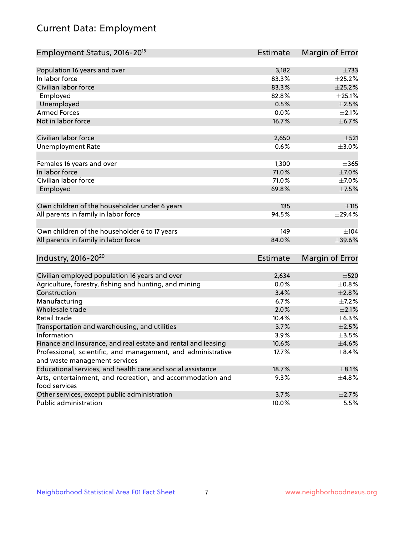# Current Data: Employment

| Employment Status, 2016-20 <sup>19</sup>                                    | <b>Estimate</b> | Margin of Error |
|-----------------------------------------------------------------------------|-----------------|-----------------|
|                                                                             |                 |                 |
| Population 16 years and over                                                | 3,182           | $\pm 733$       |
| In labor force                                                              | 83.3%           | ±25.2%          |
| Civilian labor force                                                        | 83.3%           | $\pm 25.2\%$    |
| Employed                                                                    | 82.8%           | $\pm 25.1\%$    |
| Unemployed                                                                  | 0.5%            | $\pm 2.5\%$     |
| <b>Armed Forces</b>                                                         | 0.0%            | $\pm 2.1\%$     |
| Not in labor force                                                          | 16.7%           | ±6.7%           |
| Civilian labor force                                                        | 2,650           | $\pm$ 521       |
| <b>Unemployment Rate</b>                                                    | 0.6%            | $\pm 3.0\%$     |
| Females 16 years and over                                                   | 1,300           | $\pm$ 365       |
| In labor force                                                              | 71.0%           | $\pm$ 7.0%      |
| Civilian labor force                                                        | 71.0%           | $\pm$ 7.0%      |
| Employed                                                                    | 69.8%           | $\pm$ 7.5%      |
| Own children of the householder under 6 years                               | 135             | ±115            |
| All parents in family in labor force                                        | 94.5%           | ±29.4%          |
|                                                                             |                 |                 |
| Own children of the householder 6 to 17 years                               | 149             | ±104            |
| All parents in family in labor force                                        | 84.0%           | ±39.6%          |
| Industry, 2016-20 <sup>20</sup>                                             | <b>Estimate</b> | Margin of Error |
|                                                                             |                 |                 |
| Civilian employed population 16 years and over                              | 2,634           | $\pm 520$       |
| Agriculture, forestry, fishing and hunting, and mining                      | 0.0%            | $\pm$ 0.8%      |
| Construction                                                                | 3.4%            | $\pm 2.8\%$     |
| Manufacturing                                                               | 6.7%            | $\pm$ 7.2%      |
| Wholesale trade                                                             | 2.0%            | $\pm 2.1\%$     |
| Retail trade                                                                | 10.4%           | ±6.3%           |
| Transportation and warehousing, and utilities                               | 3.7%            | $\pm 2.5\%$     |
| Information                                                                 | 3.9%            | $\pm$ 3.5%      |
| Finance and insurance, and real estate and rental and leasing               | 10.6%           | $\pm$ 4.6%      |
| Professional, scientific, and management, and administrative                | 17.7%           | $\pm$ 8.4%      |
| and waste management services                                               |                 |                 |
| Educational services, and health care and social assistance                 | 18.7%           | $\pm$ 8.1%      |
| Arts, entertainment, and recreation, and accommodation and<br>food services | 9.3%            | ±4.8%           |
| Other services, except public administration                                | 3.7%            | $\pm 2.7\%$     |
| Public administration                                                       | 10.0%           | $\pm$ 5.5%      |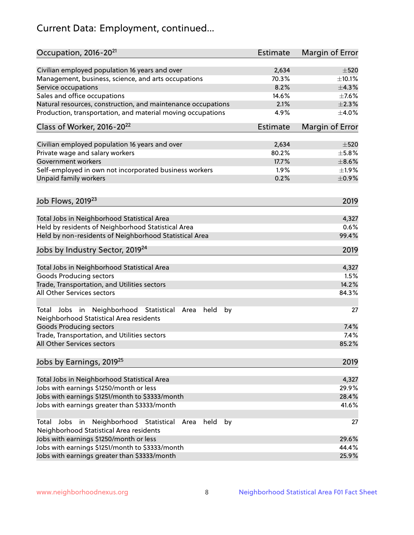# Current Data: Employment, continued...

| Occupation, 2016-20 <sup>21</sup>                                                                       | Estimate | Margin of Error |
|---------------------------------------------------------------------------------------------------------|----------|-----------------|
| Civilian employed population 16 years and over                                                          | 2,634    | $\pm$ 520       |
| Management, business, science, and arts occupations                                                     | 70.3%    | ±10.1%          |
| Service occupations                                                                                     | 8.2%     | ±4.3%           |
| Sales and office occupations                                                                            | 14.6%    | $\pm$ 7.6%      |
| Natural resources, construction, and maintenance occupations                                            | 2.1%     | $\pm 2.3\%$     |
| Production, transportation, and material moving occupations                                             | 4.9%     | $\pm 4.0\%$     |
| Class of Worker, 2016-20 <sup>22</sup>                                                                  | Estimate | Margin of Error |
| Civilian employed population 16 years and over                                                          | 2,634    | $\pm$ 520       |
| Private wage and salary workers                                                                         | 80.2%    | $\pm$ 5.8%      |
| Government workers                                                                                      | 17.7%    | $\pm$ 8.6%      |
| Self-employed in own not incorporated business workers                                                  | 1.9%     | ±1.9%           |
| Unpaid family workers                                                                                   | 0.2%     | $\pm$ 0.9%      |
|                                                                                                         |          |                 |
| Job Flows, 2019 <sup>23</sup>                                                                           |          | 2019            |
| Total Jobs in Neighborhood Statistical Area                                                             |          | 4,327           |
| Held by residents of Neighborhood Statistical Area                                                      |          | 0.6%            |
| Held by non-residents of Neighborhood Statistical Area                                                  |          | 99.4%           |
| Jobs by Industry Sector, 2019 <sup>24</sup>                                                             |          | 2019            |
| Total Jobs in Neighborhood Statistical Area                                                             |          | 4,327           |
| <b>Goods Producing sectors</b>                                                                          |          | 1.5%            |
| Trade, Transportation, and Utilities sectors                                                            |          | 14.2%           |
| All Other Services sectors                                                                              |          | 84.3%           |
| Total Jobs in Neighborhood Statistical<br>held<br>by<br>Area<br>Neighborhood Statistical Area residents |          | 27              |
| <b>Goods Producing sectors</b>                                                                          |          | 7.4%            |
| Trade, Transportation, and Utilities sectors                                                            |          | 7.4%            |
| All Other Services sectors                                                                              |          | 85.2%           |
| Jobs by Earnings, 2019 <sup>25</sup>                                                                    |          | 2019            |
| Total Jobs in Neighborhood Statistical Area                                                             |          | 4,327           |
| Jobs with earnings \$1250/month or less                                                                 |          | 29.9%           |
| Jobs with earnings \$1251/month to \$3333/month                                                         |          | 28.4%           |
| Jobs with earnings greater than \$3333/month                                                            |          | 41.6%           |
| Neighborhood Statistical<br>Jobs<br>in<br>Area<br>held<br>by<br>Total                                   |          | 27              |
| Neighborhood Statistical Area residents                                                                 |          |                 |
| Jobs with earnings \$1250/month or less                                                                 |          | 29.6%           |
| Jobs with earnings \$1251/month to \$3333/month                                                         |          | 44.4%           |
| Jobs with earnings greater than \$3333/month                                                            |          | 25.9%           |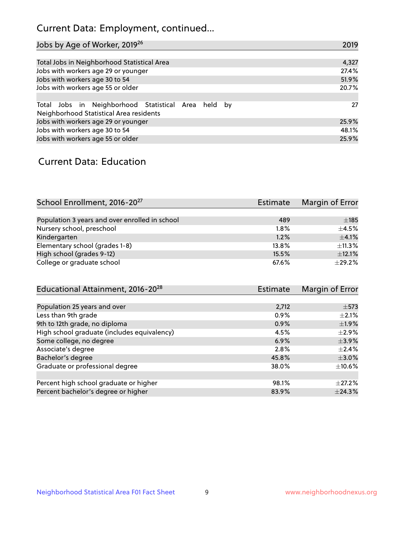## Current Data: Employment, continued...

| Jobs by Age of Worker, 2019 <sup>26</sup>                                                      | 2019  |
|------------------------------------------------------------------------------------------------|-------|
|                                                                                                |       |
| Total Jobs in Neighborhood Statistical Area                                                    | 4,327 |
| Jobs with workers age 29 or younger                                                            | 27.4% |
| Jobs with workers age 30 to 54                                                                 | 51.9% |
| Jobs with workers age 55 or older                                                              | 20.7% |
|                                                                                                |       |
| Total Jobs in Neighborhood Statistical Area held by<br>Neighborhood Statistical Area residents | 27    |
| Jobs with workers age 29 or younger                                                            | 25.9% |
| Jobs with workers age 30 to 54                                                                 | 48.1% |
| Jobs with workers age 55 or older                                                              | 25.9% |

### Current Data: Education

| School Enrollment, 2016-20 <sup>27</sup>       | <b>Estimate</b> | Margin of Error |
|------------------------------------------------|-----------------|-----------------|
|                                                |                 |                 |
| Population 3 years and over enrolled in school | 489             | $\pm$ 185       |
| Nursery school, preschool                      | 1.8%            | $+4.5%$         |
| Kindergarten                                   | 1.2%            | $\pm 4.1\%$     |
| Elementary school (grades 1-8)                 | 13.8%           | $\pm$ 11.3%     |
| High school (grades 9-12)                      | 15.5%           | $\pm$ 12.1%     |
| College or graduate school                     | 67.6%           | $\pm$ 29.2%     |

| Educational Attainment, 2016-20 <sup>28</sup> | <b>Estimate</b> | Margin of Error |
|-----------------------------------------------|-----------------|-----------------|
|                                               |                 |                 |
| Population 25 years and over                  | 2,712           | $\pm$ 573       |
| Less than 9th grade                           | 0.9%            | $\pm 2.1\%$     |
| 9th to 12th grade, no diploma                 | 0.9%            | $\pm$ 1.9%      |
| High school graduate (includes equivalency)   | 4.5%            | $\pm$ 2.9%      |
| Some college, no degree                       | 6.9%            | $\pm$ 3.9%      |
| Associate's degree                            | 2.8%            | $\pm$ 2.4%      |
| Bachelor's degree                             | 45.8%           | $\pm 3.0\%$     |
| Graduate or professional degree               | 38.0%           | $\pm$ 10.6%     |
|                                               |                 |                 |
| Percent high school graduate or higher        | 98.1%           | $+27.2%$        |
| Percent bachelor's degree or higher           | 83.9%           | $\pm 24.3\%$    |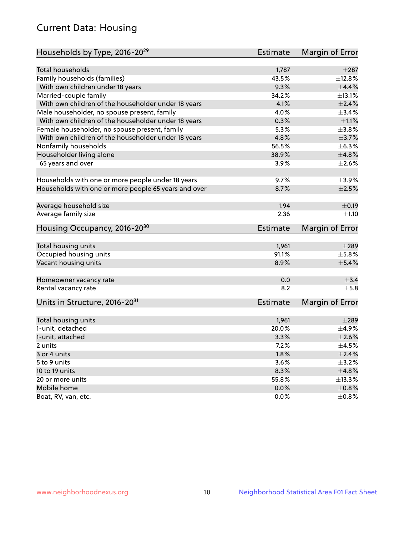## Current Data: Housing

| Households by Type, 2016-20 <sup>29</sup>            | Estimate        | Margin of Error |
|------------------------------------------------------|-----------------|-----------------|
|                                                      |                 |                 |
| Total households                                     | 1,787           | $\pm 287$       |
| Family households (families)                         | 43.5%           | ±12.8%          |
| With own children under 18 years                     | 9.3%            | $\pm$ 4.4%      |
| Married-couple family                                | 34.2%           | ±13.1%          |
| With own children of the householder under 18 years  | 4.1%            | $\pm 2.4\%$     |
| Male householder, no spouse present, family          | 4.0%            | ±3.4%           |
| With own children of the householder under 18 years  | 0.3%            | $\pm 1.1\%$     |
| Female householder, no spouse present, family        | 5.3%            | ±3.8%           |
| With own children of the householder under 18 years  | 4.8%            | $\pm$ 3.7%      |
| Nonfamily households                                 | 56.5%           | $\pm$ 6.3%      |
| Householder living alone                             | 38.9%           | ±4.8%           |
| 65 years and over                                    | 3.9%            | $\pm 2.6\%$     |
|                                                      |                 |                 |
| Households with one or more people under 18 years    | 9.7%            | $\pm$ 3.9%      |
| Households with one or more people 65 years and over | 8.7%            | $\pm 2.5\%$     |
|                                                      |                 |                 |
| Average household size                               | 1.94            | $\pm$ 0.19      |
| Average family size                                  | 2.36            | ±1.10           |
| Housing Occupancy, 2016-20 <sup>30</sup>             | <b>Estimate</b> | Margin of Error |
| Total housing units                                  | 1,961           | $\pm 289$       |
| Occupied housing units                               | 91.1%           | $\pm$ 5.8%      |
| Vacant housing units                                 | 8.9%            | $\pm$ 5.4%      |
|                                                      |                 |                 |
| Homeowner vacancy rate                               | 0.0             | $\pm$ 3.4       |
| Rental vacancy rate                                  | 8.2             | $\pm$ 5.8       |
| Units in Structure, 2016-20 <sup>31</sup>            | <b>Estimate</b> | Margin of Error |
|                                                      |                 |                 |
| Total housing units                                  | 1,961           | $\pm 289$       |
| 1-unit, detached                                     | 20.0%           | $\pm$ 4.9%      |
| 1-unit, attached                                     | 3.3%            | $\pm 2.6\%$     |
| 2 units                                              | 7.2%            | $\pm 4.5\%$     |
| 3 or 4 units                                         | 1.8%            | $\pm 2.4\%$     |
| 5 to 9 units                                         | 3.6%            | $\pm$ 3.2%      |
| 10 to 19 units                                       | 8.3%            | ±4.8%           |
| 20 or more units                                     | 55.8%           | ±13.3%          |
| Mobile home                                          | 0.0%            | $\pm$ 0.8%      |
| Boat, RV, van, etc.                                  | 0.0%            | $\pm$ 0.8%      |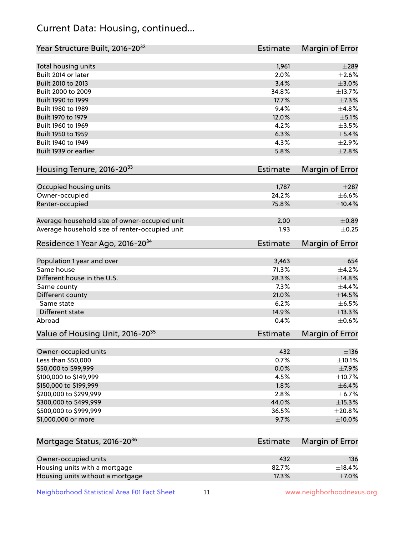## Current Data: Housing, continued...

| Year Structure Built, 2016-20 <sup>32</sup>    | Estimate        | Margin of Error |
|------------------------------------------------|-----------------|-----------------|
| Total housing units                            | 1,961           | $\pm 289$       |
| Built 2014 or later                            | 2.0%            | $\pm 2.6\%$     |
| Built 2010 to 2013                             | 3.4%            | $\pm 3.0\%$     |
| Built 2000 to 2009                             | 34.8%           | ±13.7%          |
| Built 1990 to 1999                             | 17.7%           | ±7.3%           |
| Built 1980 to 1989                             | 9.4%            | ±4.8%           |
| Built 1970 to 1979                             | 12.0%           | $\pm$ 5.1%      |
| Built 1960 to 1969                             | 4.2%            | $\pm 3.5\%$     |
| Built 1950 to 1959                             | 6.3%            | $\pm$ 5.4%      |
| Built 1940 to 1949                             | 4.3%            | $\pm 2.9\%$     |
| Built 1939 or earlier                          | 5.8%            | $\pm 2.8\%$     |
| Housing Tenure, 2016-2033                      | <b>Estimate</b> | Margin of Error |
| Occupied housing units                         | 1,787           | $\pm 287$       |
| Owner-occupied                                 | 24.2%           | $\pm$ 6.6%      |
| Renter-occupied                                | 75.8%           | ±10.4%          |
| Average household size of owner-occupied unit  | 2.00            | $\pm$ 0.89      |
| Average household size of renter-occupied unit | 1.93            | $\pm$ 0.25      |
| Residence 1 Year Ago, 2016-20 <sup>34</sup>    | Estimate        | Margin of Error |
| Population 1 year and over                     | 3,463           | $\pm 654$       |
| Same house                                     | 71.3%           | $\pm$ 4.2%      |
| Different house in the U.S.                    | 28.3%           | ±14.8%          |
| Same county                                    | 7.3%            | ±4.4%           |
| Different county                               | 21.0%           | $\pm$ 14.5%     |
| Same state                                     | 6.2%            | $\pm$ 6.5%      |
| Different state                                | 14.9%           | ±13.3%          |
| Abroad                                         | 0.4%            | $\pm$ 0.6%      |
| Value of Housing Unit, 2016-20 <sup>35</sup>   | <b>Estimate</b> | Margin of Error |
| Owner-occupied units                           | 432             | $\pm$ 136       |
| Less than \$50,000                             | 0.7%            | $\pm$ 10.1%     |
| \$50,000 to \$99,999                           | 0.0%            | $\pm$ 7.9%      |
| \$100,000 to \$149,999                         | 4.5%            | ±10.7%          |
| \$150,000 to \$199,999                         | 1.8%            | $\pm$ 6.4%      |
| \$200,000 to \$299,999                         | 2.8%            | $\pm$ 6.7%      |
| \$300,000 to \$499,999                         | 44.0%           | $\pm$ 15.3%     |
| \$500,000 to \$999,999                         | 36.5%           | ±20.8%          |
| \$1,000,000 or more                            | 9.7%            | $\pm 10.0\%$    |
| Mortgage Status, 2016-20 <sup>36</sup>         | <b>Estimate</b> | Margin of Error |
| Owner-occupied units                           | 432             | $\pm$ 136       |
| Housing units with a mortgage                  | 82.7%           | $\pm$ 18.4%     |

Neighborhood Statistical Area F01 Fact Sheet 11 11 www.neighborhoodnexus.org

Housing units without a mortgage  $\pm 7.0\%$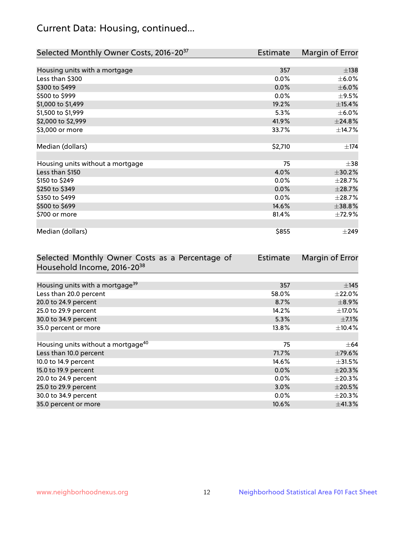## Current Data: Housing, continued...

| Selected Monthly Owner Costs, 2016-20 <sup>37</sup> | Estimate | Margin of Error |
|-----------------------------------------------------|----------|-----------------|
|                                                     |          |                 |
| Housing units with a mortgage                       | 357      | $\pm$ 138       |
| Less than \$300                                     | 0.0%     | $\pm$ 6.0%      |
| \$300 to \$499                                      | 0.0%     | $\pm$ 6.0%      |
| \$500 to \$999                                      | $0.0\%$  | $\pm$ 9.5%      |
| \$1,000 to \$1,499                                  | 19.2%    | ±15.4%          |
| \$1,500 to \$1,999                                  | 5.3%     | $\pm$ 6.0%      |
| \$2,000 to \$2,999                                  | 41.9%    | ±24.8%          |
| \$3,000 or more                                     | 33.7%    | ±14.7%          |
|                                                     |          |                 |
| Median (dollars)                                    | \$2,710  | ±174            |
|                                                     |          |                 |
| Housing units without a mortgage                    | 75       | $\pm$ 38        |
| Less than \$150                                     | 4.0%     | ±30.2%          |
| \$150 to \$249                                      | 0.0%     | ±28.7%          |
| \$250 to \$349                                      | 0.0%     | ±28.7%          |
| \$350 to \$499                                      | 0.0%     | ±28.7%          |
| \$500 to \$699                                      | 14.6%    | ±38.8%          |
| \$700 or more                                       | 81.4%    | ±72.9%          |
|                                                     |          |                 |
| Median (dollars)                                    | \$855    | $\pm 249$       |

| Selected Monthly Owner Costs as a Percentage of | <b>Estimate</b> | Margin of Error |
|-------------------------------------------------|-----------------|-----------------|
| Household Income, 2016-20 <sup>38</sup>         |                 |                 |
|                                                 |                 |                 |
| Housing units with a mortgage <sup>39</sup>     | 357             | $\pm$ 145       |
| Less than 20.0 percent                          | 58.0%           | $\pm 22.0\%$    |
| 20.0 to 24.9 percent                            | 8.7%            | $\pm$ 8.9%      |
| 25.0 to 29.9 percent                            | 14.2%           | $\pm$ 17.0%     |
| 30.0 to 34.9 percent                            | 5.3%            | $\pm$ 7.1%      |
| 35.0 percent or more                            | 13.8%           | $\pm$ 10.4%     |
|                                                 |                 |                 |
| Housing units without a mortgage <sup>40</sup>  | 75              | $\pm$ 64        |
| Less than 10.0 percent                          | 71.7%           | $\pm$ 79.6%     |
| 10.0 to 14.9 percent                            | 14.6%           | $\pm$ 31.5%     |
| 15.0 to 19.9 percent                            | 0.0%            | $\pm 20.3\%$    |
| 20.0 to 24.9 percent                            | $0.0\%$         | $\pm 20.3\%$    |
| 25.0 to 29.9 percent                            | 3.0%            | $\pm 20.5\%$    |
| 30.0 to 34.9 percent                            | $0.0\%$         | $\pm 20.3\%$    |
| 35.0 percent or more                            | 10.6%           | ±41.3%          |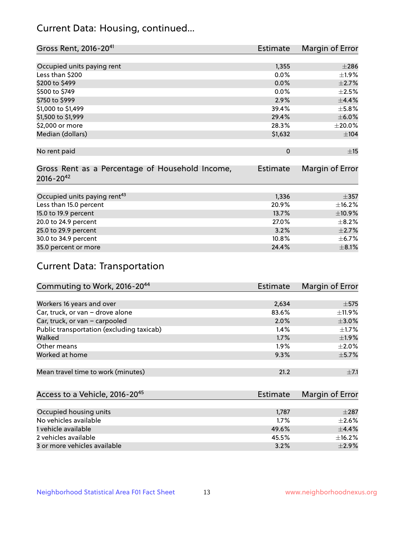## Current Data: Housing, continued...

| Gross Rent, 2016-20 <sup>41</sup>               | <b>Estimate</b> | Margin of Error |
|-------------------------------------------------|-----------------|-----------------|
|                                                 |                 |                 |
| Occupied units paying rent                      | 1,355           | $\pm 286$       |
| Less than \$200                                 | 0.0%            | ±1.9%           |
| \$200 to \$499                                  | 0.0%            | $\pm 2.7\%$     |
| \$500 to \$749                                  | 0.0%            | $\pm 2.5\%$     |
| \$750 to \$999                                  | 2.9%            | ±4.4%           |
| \$1,000 to \$1,499                              | 39.4%           | $\pm$ 5.8%      |
| \$1,500 to \$1,999                              | 29.4%           | $\pm$ 6.0%      |
| \$2,000 or more                                 | 28.3%           | $\pm 20.0\%$    |
| Median (dollars)                                | \$1,632         | $\pm 104$       |
|                                                 |                 |                 |
| No rent paid                                    | $\Omega$        | ±15             |
|                                                 |                 |                 |
| Gross Rent as a Percentage of Household Income, | <b>Estimate</b> | Margin of Error |
| $2016 - 20^{42}$                                |                 |                 |
|                                                 |                 |                 |
| Occupied units paying rent <sup>43</sup>        | 1,336           | $\pm$ 357       |
| Less than 15.0 percent                          | 20.9%           | ±16.2%          |
| 15.0 to 19.9 percent                            | 13.7%           | ±10.9%          |
| 20.0 to 24.9 percent                            | 27.0%           | $\pm$ 8.2%      |
| 25.0 to 29.9 percent                            | 3.2%            | $\pm 2.7\%$     |
| 30.0 to 34.9 percent                            | 10.8%           | $\pm$ 6.7%      |
| 35.0 percent or more                            | 24.4%           | $\pm$ 8.1%      |

# Current Data: Transportation

| Commuting to Work, 2016-20 <sup>44</sup>  | <b>Estimate</b> | Margin of Error |
|-------------------------------------------|-----------------|-----------------|
|                                           |                 |                 |
| Workers 16 years and over                 | 2,634           | $\pm$ 575       |
| Car, truck, or van - drove alone          | 83.6%           | $\pm$ 11.9%     |
| Car, truck, or van - carpooled            | 2.0%            | $\pm 3.0\%$     |
| Public transportation (excluding taxicab) | $1.4\%$         | $\pm 1.7\%$     |
| Walked                                    | 1.7%            | $\pm$ 1.9%      |
| Other means                               | 1.9%            | $\pm 2.0\%$     |
| Worked at home                            | 9.3%            | $\pm$ 5.7%      |
|                                           |                 |                 |
| Mean travel time to work (minutes)        | 21.2            | $\pm$ 7.1       |

| Access to a Vehicle, 2016-20 <sup>45</sup> | Estimate | Margin of Error |
|--------------------------------------------|----------|-----------------|
|                                            |          |                 |
| Occupied housing units                     | 1,787    | $\pm 287$       |
| No vehicles available                      | 1.7%     | $\pm 2.6\%$     |
| 1 vehicle available                        | 49.6%    | $+4.4%$         |
| 2 vehicles available                       | 45.5%    | $+16.2%$        |
| 3 or more vehicles available               | 3.2%     | $\pm$ 2.9%      |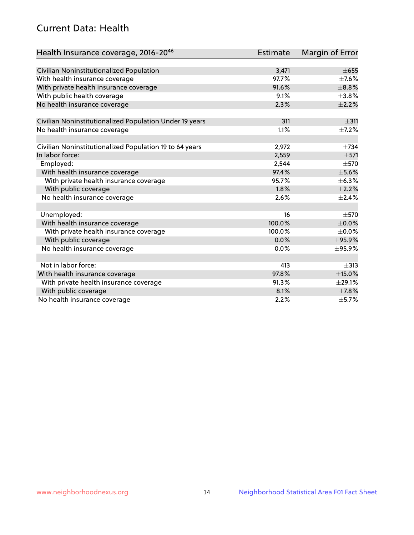## Current Data: Health

| Health Insurance coverage, 2016-2046                    | <b>Estimate</b> | Margin of Error |
|---------------------------------------------------------|-----------------|-----------------|
|                                                         |                 |                 |
| Civilian Noninstitutionalized Population                | 3,471           | $\pm 655$       |
| With health insurance coverage                          | 97.7%           | $\pm$ 7.6%      |
| With private health insurance coverage                  | 91.6%           | $\pm$ 8.8%      |
| With public health coverage                             | 9.1%            | $\pm$ 3.8%      |
| No health insurance coverage                            | 2.3%            | $\pm 2.2\%$     |
| Civilian Noninstitutionalized Population Under 19 years | 311             | $\pm$ 311       |
| No health insurance coverage                            | 1.1%            | $\pm$ 7.2%      |
| Civilian Noninstitutionalized Population 19 to 64 years | 2,972           | $+734$          |
| In labor force:                                         | 2,559           | $\pm$ 571       |
| Employed:                                               | 2,544           | $\pm$ 570       |
| With health insurance coverage                          | 97.4%           | $\pm$ 5.6%      |
| With private health insurance coverage                  | 95.7%           | ±6.3%           |
| With public coverage                                    | 1.8%            | $\pm 2.2\%$     |
| No health insurance coverage                            | 2.6%            | ±2.4%           |
|                                                         |                 |                 |
| Unemployed:                                             | 16              | $\pm$ 570       |
| With health insurance coverage                          | 100.0%          | $\pm$ 0.0%      |
| With private health insurance coverage                  | 100.0%          | $\pm$ 0.0%      |
| With public coverage                                    | 0.0%            | ±95.9%          |
| No health insurance coverage                            | 0.0%            | ±95.9%          |
|                                                         |                 |                 |
| Not in labor force:                                     | 413             | $\pm$ 313       |
| With health insurance coverage                          | 97.8%           | $\pm$ 15.0%     |
| With private health insurance coverage                  | 91.3%           | $\pm$ 29.1%     |
| With public coverage                                    | 8.1%            | $\pm$ 7.8%      |
| No health insurance coverage                            | 2.2%            | $\pm$ 5.7%      |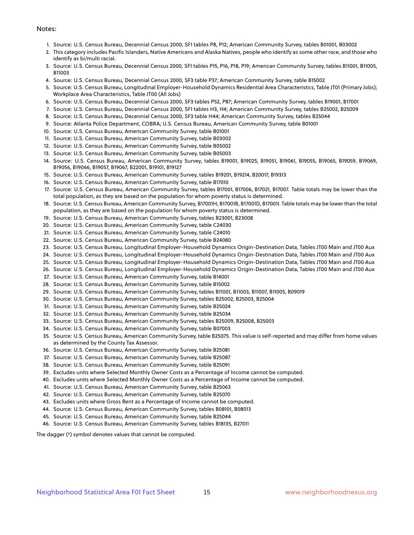#### Notes:

- 1. Source: U.S. Census Bureau, Decennial Census 2000, SF1 tables P8, P12; American Community Survey, tables B01001, B03002
- 2. This category includes Pacific Islanders, Native Americans and Alaska Natives, people who identify as some other race, and those who identify as bi/multi racial.
- 3. Source: U.S. Census Bureau, Decennial Census 2000, SF1 tables P15, P16, P18, P19; American Community Survey, tables B11001, B11005, B11003
- 4. Source: U.S. Census Bureau, Decennial Census 2000, SF3 table P37; American Community Survey, table B15002
- 5. Source: U.S. Census Bureau, Longitudinal Employer-Household Dynamics Residential Area Characteristics, Table JT01 (Primary Jobs); Workplace Area Characteristics, Table JT00 (All Jobs)
- 6. Source: U.S. Census Bureau, Decennial Census 2000, SF3 tables P52, P87; American Community Survey, tables B19001, B17001
- 7. Source: U.S. Census Bureau, Decennial Census 2000, SF1 tables H3, H4; American Community Survey, tables B25002, B25009
- 8. Source: U.S. Census Bureau, Decennial Census 2000, SF3 table H44; American Community Survey, tables B25044
- 9. Source: Atlanta Police Department, COBRA; U.S. Census Bureau, American Community Survey, table B01001
- 10. Source: U.S. Census Bureau, American Community Survey, table B01001
- 11. Source: U.S. Census Bureau, American Community Survey, table B03002
- 12. Source: U.S. Census Bureau, American Community Survey, table B05002
- 13. Source: U.S. Census Bureau, American Community Survey, table B05003
- 14. Source: U.S. Census Bureau, American Community Survey, tables B19001, B19025, B19051, B19061, B19055, B19065, B19059, B19069, B19056, B19066, B19057, B19067, B22001, B19101, B19127
- 15. Source: U.S. Census Bureau, American Community Survey, tables B19201, B19214, B20017, B19313
- 16. Source: U.S. Census Bureau, American Community Survey, table B17010
- 17. Source: U.S. Census Bureau, American Community Survey, tables B17001, B17006, B17021, B17007. Table totals may be lower than the total population, as they are based on the population for whom poverty status is determined.
- 18. Source: U.S. Census Bureau, American Community Survey, B17001H, B17001B, B17001D, B17001I. Table totals may be lower than the total population, as they are based on the population for whom poverty status is determined.
- 19. Source: U.S. Census Bureau, American Community Survey, tables B23001, B23008
- 20. Source: U.S. Census Bureau, American Community Survey, table C24030
- 21. Source: U.S. Census Bureau, American Community Survey, table C24010
- 22. Source: U.S. Census Bureau, American Community Survey, table B24080
- 23. Source: U.S. Census Bureau, Longitudinal Employer-Household Dynamics Origin-Destination Data, Tables JT00 Main and JT00 Aux
- 24. Source: U.S. Census Bureau, Longitudinal Employer-Household Dynamics Origin-Destination Data, Tables JT00 Main and JT00 Aux
- 25. Source: U.S. Census Bureau, Longitudinal Employer-Household Dynamics Origin-Destination Data, Tables JT00 Main and JT00 Aux
- 26. Source: U.S. Census Bureau, Longitudinal Employer-Household Dynamics Origin-Destination Data, Tables JT00 Main and JT00 Aux
- 27. Source: U.S. Census Bureau, American Community Survey, table B14001
- 28. Source: U.S. Census Bureau, American Community Survey, table B15002
- 29. Source: U.S. Census Bureau, American Community Survey, tables B11001, B11003, B11007, B11005, B09019
- 30. Source: U.S. Census Bureau, American Community Survey, tables B25002, B25003, B25004
- 31. Source: U.S. Census Bureau, American Community Survey, table B25024
- 32. Source: U.S. Census Bureau, American Community Survey, table B25034
- 33. Source: U.S. Census Bureau, American Community Survey, tables B25009, B25008, B25003
- 34. Source: U.S. Census Bureau, American Community Survey, table B07003
- 35. Source: U.S. Census Bureau, American Community Survey, table B25075. This value is self-reported and may differ from home values as determined by the County Tax Assessor.
- 36. Source: U.S. Census Bureau, American Community Survey, table B25081
- 37. Source: U.S. Census Bureau, American Community Survey, table B25087
- 38. Source: U.S. Census Bureau, American Community Survey, table B25091
- 39. Excludes units where Selected Monthly Owner Costs as a Percentage of Income cannot be computed.
- 40. Excludes units where Selected Monthly Owner Costs as a Percentage of Income cannot be computed.
- 41. Source: U.S. Census Bureau, American Community Survey, table B25063
- 42. Source: U.S. Census Bureau, American Community Survey, table B25070
- 43. Excludes units where Gross Rent as a Percentage of Income cannot be computed.
- 44. Source: U.S. Census Bureau, American Community Survey, tables B08101, B08013
- 45. Source: U.S. Census Bureau, American Community Survey, table B25044
- 46. Source: U.S. Census Bureau, American Community Survey, tables B18135, B27011

The dagger (†) symbol denotes values that cannot be computed.